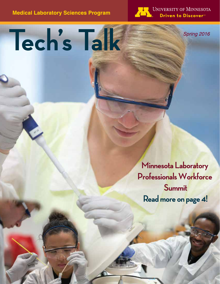**Medical Laboratory Sciences Program** 

Tech's Talk



UNIVERSITY OF MINNESOTA Driven to Discover<sup>5M</sup>



Minnesota Laboratory **Professionals Workforce** Summit Read more on page 4!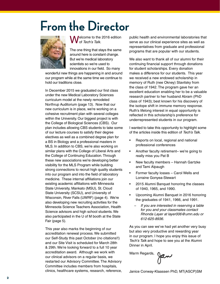# **From the Director**



Welcome to the 2016 edition of *Tech's Talk.*

The one thing that stays the same around here is constant change. But we're medical laboratory scientists so we're used to innovations in our field. So many

wonderful new things are happening in and around our program while at the same time we continue to hold our traditions close.

In December 2015 we graduated our first class under the new Medical Laboratory Sciences curriculum model at the newly remodeled Northrup Auditorium (page 13). Now that our new curriculum is in place, we're working on a cohesive recruitment plan with several colleges within the University. Our biggest project is with the College of Biological Sciences (CBS). Our plan includes allowing CBS students to take some of our lecture courses to satisfy their degree electives as well as a combined degree plan for a BS in Biology and a professional masters in MLS. In addition to CBS, we're also working on similar plans with the College of Liberal Arts and the College of Continuing Education. Through these new associations we're developing better visibility for the MLS Program while building strong connections to recruit high quality students into our program and into the field of laboratory medicine. These internal affiliations join our existing academic affiliations with Minnesota State University, Mankato (MSU), St. Cloud State University (SCSU), and University of Wisconsin, River Falls (UWRF) (page 4). We're also developing new recruiting activities for the Minnesota Science Teachers Association, Health Science advisors and high school students. We also participated in the U of M booth at the State Fair (page 5).

This year also marks the beginning of our accreditation renewal process. We submitted our Self-Study this past October (no citations!!) and our Site Visit is scheduled for March 28th & 29th. We're looking forward to a full 10 year accreditation award. Although we work with our clinical advisors on a regular basis, we restarted our Advisory Committee. The Advisory Committee includes members from hospitals, clinics, healthcare systems, research, reference, public health and environmental laboratories that serve as our clinical experience sites as well as representatives from graduate and professional programs that are popular with our students.

We also want to thank all of our alumni for their continuing financial support through donations for student scholarships. Every donation makes a difference for our students. This year we received a new endowed scholarship in memory of Ruth (nee Okney) Stavitsky from the class of 1942. The program gave her an excellent education enabling her to be a valuable research partner to her husband Abram (PhD class of 1943); best known for his discovery of the isotope shift in immune memory response. Ruth's lifelong interest in equal opportunity is reflected in this scholarship's preference for underrepresented students in our program.

I wanted to take this opportunity to highlight some of the articles inside this edition of *Tech's Talk.* 

- Reports on local, regional and national professional conferences
- Another faculty retirement- we're going to really miss you Pat B
- New faculty members Hannah Gartzke and Tami Alpaugh
- Former faculty losses Carol Wells and Lorraine Gonyea-Stewart
- 2015 Alumni Banquet honoring the classes of 1940, 1965, and 1990.
- Upcoming Alumni Banquet in 2016 honoring the graduates of 1941, 1966, and 1991.
	- − *If you are interested in reserving a table for you and your classmates contact Rhonda Layer at layer006@umn.edu or 612-625-8936.*

As you can see we've had yet another very busy but also very productive and rewarding year in our program. I hope you enjoy this issue of *Tech's Talk* and hope to see you at the Alumni Dinner in April.

Warm Regards,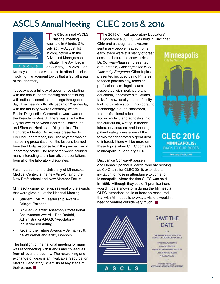# **ASCLS Annual Meeting CLEC 2015 & 2016**



The 83rd annual ASCLS **National meeting** was held in Atlanta, GA, July 28th – August 1st in conjunction with the Advanced Management Institute. The AMI began on Sunday, July 26th. For

two days attendees were able to attend sessions involving management topics that affect all areas of the laboratory.

Tuesday was a full day of governance starting with the annual board meeting and continuing with national committee meetings throughout the day. The meeting officially began on Wednesday with the Industry Award Ceremony, where Roche Diagnostics Corporation was awarded the President's Award. There was a tie for the Crystal Award between Beckman Coulter, Inc. and Siemens Healthcare Diagnostics. The Honorable Mention Award was presented to Bio-Rad Laboratories, Inc. The keynote was an interesting presentation on the lessons learned from the Ebola response from the perspective of laboratory safety. The rest of the week included many interesting and informative presentations from all of the laboratory disciplines.

Karen Larson, of the University of Minnesota Medical Center, is the new Vice-Chair of the New Professional and New Member Forum.

Minnesota came home with several of the awards that were given out at the National Meeting.

- Student Forum Leadership Award -Bridget Parsons
- **Bio-Rad Scientific Assembly Professional** Achievement Award – Deb Rodahl, Administration/QA/QC/Regulatory/ Industry/Consulting
- Keys to the Future Awards  $-$  Jenna Pruitt, Kelley Weber and Kristy Connors

The highlight of the national meeting for many was reconnecting with friends and colleagues from all over the country. The networking and exchange of ideas is an invaluable resource for Medical Laboratory Scientists at any stage of their career.

The 2015 Clinical Laboratory Educators'<br>
Conference (CLEC) was held in Cincinnati,

Ohio and although a snowstorm sent many people headed home early, there were still plenty of great sessions before the snow arrived. Dr. Conway-Klaassen presented a roundtable, *Challenges for MLS University Programs*. Other topics presented included using Pinterest to teach parasitology, teaching professionalism, legal issues associated with healthcare and education, laboratory simulations, talks for new faculty and for faculty looking to retire soon. Incorporating technology into the classroom, Interprofessional education, adding molecular diagnostics into the curriculum, writing in medical laboratory courses, and teaching patient safety were some of the topics that generated a great deal of interest. There will be more on these topics when CLEC comes to Minneapolis in February, 2016.

Drs. Janice Conway-Klaassen

and Donna Spannaus-Martin, who are serving as Co-Chairs for CLEC 2016, extended an invitation to those in attendance to come to Minneapolis, where the first CLEC was held in 1985. Although they couldn't promise there wouldn't be a snowstorm during the Minnesota CLEC, attendees could at least be reassured that with Minneapolis skyways, visitors wouldn't need to venture outside very much.



**Minneapolis** 

### **CLEC 2016 MINNEAPOLIS: BACK TO OUR ROOTS**

February 25-27, 2016



THE AMERICAN SOCIETY FOR<br>CLINICAL LABORATORY SCIENCE

CUNICAL LAB EXPO ADWANCED MANAGEMENT INSTITUTE JULY 29-AUGUST 4, 2016 PHILADELPHIA, PA

DETAILS TO FOLLOW WWW./ASCLS.ORG/ANNUAL MEETING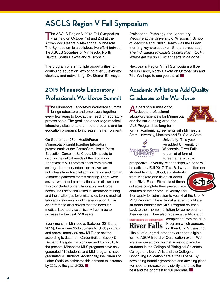# **ASCLS Region V Fall Symposium**

The ASCLS Region V 2015 Fall Symposium was held on October 1st and 2nd at the Arrowwood Resort in Alexandria, Minnesota. The Symposium is a collaborative effort between the ASCLS Societies of Minnesota, North Dakota, South Dakota and Wisconsin.

The program offers multiple opportunities for continuing education, exploring over 30 exhibitor displays, and networking. Dr. Sharon Ehrmeyer,

### **2015 Minnesota Laboratory Professionals Workforce Summit**

The Minnesota Laboratory Workforce Summit brings educators and employers together every few years to look at the need for laboratory professionals. The goal is to encourage medical laboratory sites to take on more students and for education programs to increase their enrollment.

On September 25th, HealthForce Minnesota brought together laboratory professionals at the CentraCare Health Plaza Education Center in St. Cloud, Minnesota to discuss the critical needs of the laboratory. Approximately 90 professionals from clinical settings, laboratory education, as well as individuals from hospital administration and human resources gathered for this meeting. There were several wonderful presentations and discussions. Topics included current laboratory workforce needs, the use of simulation in laboratory training, and the challenges for clinical sites taking medical laboratory students for clinical education. It was clear from the discussions that the need for medical laboratory scientists will continue to increase for the next 7-10 years.

Every month in Minnesota, (between 2013 and 2015), there were 25 to 30 new MLS job postings and approximately 20 new MLT jobs posted, according to data from CareerBuilder Supply & Demand. Despite this high demand from 2013 to the present, Minnesota MLS programs have only graduated 110 students and MLT programs have graduated 90 students. Additionally, the Bureau of Labor Statistics estimates this demand to increase by 22% by the year 2022.

Professor of Pathology and Laboratory Medicine at the University of Wisconsin School of Medicine and Public Health was the Friday morning keynote speaker. Sharon presented *The Individualized Quality Control Plan (IQCP): Where are we now? What needs to be done?*

Next year's Region V Fall Symposium will be held in Fargo, North Dakota on October 6th and 7th. We hope to see you there!

## **Academic Affiliations Add Quality Graduates to the Workforce**

As part of our mission to educate professional laboratory scientists for Minnesota and the surrounding area, the MLS Program has long-term



formal academic agreements with Minnesota State University, Mankato and St. Cloud State



University. This year we added University of Wisconsin, River Falls to our list of formal agreements with two

prospective university relationships we hope will be active by Fall 2017. This Fall we admitted one

student from St. Cloud, six students from Mankato and three students from River Falls. Students at these colleges complete their prerequisite courses at their home university and



then apply for admission to year 4 at the U of M MLS Program. The external academic affiliate students transfer the MLS Program courses back to their home institution for completion of their degree. They also receive a certificate of

**River Falls** 

UNIVERSITY OF WISCONSIN COMpletion from the MLS Program which appears on their U of M transcript.

Like all of our graduates they are then eligible for the ASCP Board of Certification exam. We are also developing formal advising plans for students in the College of Biological Sciences, College of Liberal Arts and the College of Continuing Education here at the U of M. By developing formal agreements and advising plans we hope to increase our visibility and draw the best and the brightest to our program.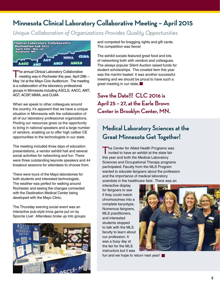# **Minnesota Clinical Laboratory Collaborative Meeting – April 2015**

### *Unique Collaboration of Organizations Provides Quality Opportunities*



The annual Clinical Laboratory Collaborative<br>meeting was in Rochester this year, April 29th – May 1st at the Mayo Civic Auditorium. The meeting is a collaboration of the laboratory professional groups in Minnesota including ASCLS, AACC, AMT, AGT, ACSP, MIMA, and CLMA.

When we speak to other colleagues around the country, it's apparent that we have a unique situation in Minnesota with the collaboration of all of our laboratory professional organizations. Pooling our resources gives us the opportunity to bring in national speakers and a large number of vendors, enabling us to offer high caliber CE opportunities to the technologists in our state.

The meeting included three days of education presentations, a vendor exhibit hall and several social activities for networking and fun. There were three outstanding keynote speakers and 44 breakout sessions for attendees to choose from.

There were tours of the Mayo laboratories for both students and interested technologists. The weather was perfect for walking around Rochester and seeing the changes connected with the Destination Medical Center being developed with the Mayo Clinic.

The Thursday evening social event was an interactive pub-style trivia game put on by Sporcle Live! Attendees broke up into groups



and competed for bragging rights and gift cards. The competition was fierce!

The exhibit socials featured great food and lots of networking both with vendors and colleagues. The always popular Silent Auction raised funds for student scholarships. The coveted item this year was the martini basket. It was another successful meeting and we should be proud to have such a great meeting in our state.

**Save the Date!!! CLC 2016 is April 25 – 27, at the Earle Brown Center in Brooklyn Center, MN.** 

# **Medical Laboratory Sciences at the Great Minnesota Get Together!**

The Center for Allied Health Programs was<br>invited to have an exhibit at the state fair this year and both the Medical Laboratory Sciences and Occupational Therapy programs participated. Faculty from the MLS Program wanted to educate fairgoers about the profession and the importance of medical laboratory scientists in the healthcare field. There was an

interactive display for fairgoers to see if they could match chromosomes into a complete karyotype. Numerous fairgoers, MLS practitioners, and interested students stopped to talk with the MLS faculty to learn about our profession. It was a busy day at the fair for the MLS instructors but it was

fun and we hope to return next year!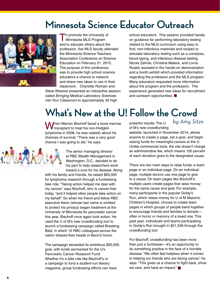# **Minnesota Science Educator Outreach**



To promote the University of<br>
Minnesota MLS Program and to educate others about the profession, five MLS faculty attended the Minnesota Science Teachers Association Conference on Science Education on February 21, 2015. The purpose of the conference was to provide high school science educators a chance to network and share new ideas to use in their classroom. Charlotte Romain and

Steve Wiesner presented an interactive session called *Bringing Medical Laboratory Sciences into Your Classroom* to approximately 30 high

school educators. This session provided handson guidance for performing laboratory testing related to the MLS curriculum using easy to find, non-infectious materials and recipes to simulate laboratory testing such as a urinalysis, blood typing, and infectious disease testing. Nicole Zahnle, Christine Maleck, and Lorna Ruskin assisted in the hands-on demonstration and a booth exhibit which provided information regarding the profession and the MLS program. Many educators requested more information about the program and the profession. The experience generated new ideas for recruitment and outreach opportunities.

# **What's New at the U! Follow the Crowd** *by Amy Sitze*

When Warren Bischoff faced a bone marrow<br>W transplant to treat his non-Hodgkin lymphoma in 2008, he was realistic about his chances of survival. "There was a very good chance I was going to die," he says.

> The senior managing director at RBC Wealth Management in Washington, D.C., decided to do his part to help researchers work toward a cure for his disease. Along

with his family and friends, he raised \$83,000 for lymphoma research through a fundraising bike ride. "Taking action helped me deal with my cancer," says Bischoff, who is cancer-free today, "and it helped other people take action on my behalf." So when his friend and fellow RBC executive Kevin (whose last name is omitted to protect his privacy) began treatment at the University of Minnesota for pancreatic cancer this year, Bischoff once again took action. He used the U of M's new crowdfunding tool to launch a fundraising campaign called Breaking Bald, in which 12 RBC colleagues across the nation shaved their heads in Kevin's honor.

The campaign exceeded its ambitious \$50,000 goal, with funds earmarked for the U's Pancreatic Cancer Research Fund. Whether it's a bike ride like Bischoff's or a campaign to fund a student-run literary magazine, group fundraising efforts can have

powerful results. The U of M's new crowdfunding

website, launched in November 2014, allows anyone to create a page, set a goal, and begin raising funds for meaningful causes at the U. Unlike commercial tools, the site doesn't charge an administrative fee, which means 100 percent of each donation goes to the designated cause.

There are two main ways to raise funds: a team page or an individual page. On an individual page, multiple donors use one page to give to a cause. On team pages like Bischoff's, multiple users create pages that raise money for the same cause and goal. For example, many participants in the popular Goldy's Run, which raises money for U of M Masonic Children's Hospital, choose to create team pages in which groups of people band together to encourage friends and families to donate often in honor or memory of a loved one. This past year, individuals and teams participating in Goldy's Run brought in \$21,536 through the crowdfunding tool.

For Bischoff, crowdfunding has been more than just a fundraiser—it's an opportunity to do something positive in the face of a horrible disease. "We often feel helpless when it comes to helping our friends who are facing cancer," he says. "This gives us a chance to fight back, show we care, and have an impact."

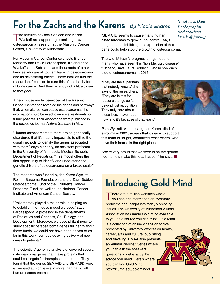# **For the Zachs and the Karens** *By Nicole Endres*

The families of Zach Sobiech and Karen<br>Wyckoff are supporting promising new osteosarcoma research at the Masonic Cancer Center, University of Minnesota.

For Masonic Cancer Center scientists Branden Moriarity and David Largaespada, it's about the Wyckoffs, the Sobiechs, and thousands of other families who are all too familiar with osteosarcoma and its devastating effects. These families fuel the researchers' passion to cure this often deadly form of bone cancer. And they recently got a little closer to that goal.

A new mouse model developed at the Masonic Cancer Center has revealed the genes and pathways that, when altered, can cause osteosarcoma. The information could be used to improve treatments for future patients. Their discoveries were published in the respected journal *Nature Genetics* in May.

"Human osteosarcoma tumors are so genetically disordered that it's nearly impossible to utilize the usual methods to identify the genes associated with them," says Moriarity, an assistant professor in the University of Minnesota Medical School's Department of Pediatrics. "This model offers the first opportunity to identify and understand the genetic drivers of osteosarcoma on a broad scale."

The research was funded by the Karen Wyckoff Rein in Sarcoma Foundation and the Zach Sobiech Osteosarcoma Fund of the Children's Cancer Research Fund, as well as the National Cancer Institute and American Cancer Society.

"Philanthropy played a major role in helping us to establish the mouse model we used," says Largaespada, a professor in the departments of Pediatrics and Genetics, Cell Biology, and Development. "Moreover, we used philanthropy to study specific osteosarcoma genes further. Without these funds, we could not have gone as fast or as far in this work, perhaps delaying delivery of new cures to patients."

The scientists' genomic analysis uncovered several osteosarcoma genes that make proteins that could be targets for therapies in the future. They found that the genes SEMA4D and SEMA6D were expressed at high levels in more than half of all human osteosarcomas.

"SEMA4D seems to cause many human osteosarcomas to grow out of control," says Largaespada. Inhibiting the expression of that gene could help stop the growth of osteosarcoma.

The U of M team's progress brings hope to many who have seen this "horrible, ugly disease" firsthand, says Laura Sobiech, whose son Zach died of osteosarcoma in 2013.

"They are the superstars that nobody knows," she says of the researchers. "They are in this for reasons that go so far beyond just recognition. They truly care about these kids. I have hope



now, and it's because of that team."

Pete Wyckoff, whose daughter, Karen, died of sarcoma in 2001, agrees that it's easy to support this team of "bright, committed researchers" who have their hearts in the right place.

"We're very proud that we were in on the ground floor to help make this idea happen," he says.  $\blacksquare$ 

# **Introducing Gold Mind**

There are a million websites where<br>you can get information on everyday problems and insight into today's pressing issues. The University of Minnesota Alumni Association has made Gold Mind available to you as a source you can trust! Gold Mind is a collection of online videos on topics presented by University experts on health, career, arts and culture, publishing and traveling. UMAA also presents an Alumni Webinar Series where you can ask the speakers questions to get exactly the advice you need. Here's where you can find Gold Mind: http://z.umn.edu/goldmindot.

*(Photos: J. Dunn Photography and courtesy Wyckoff family)*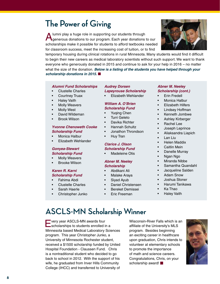# **The Power of Giving**

A lumni play a huge role in supporting our students through<br>Agenerous donations to our program. Each year donations to our scholarships make it possible for students to afford textbooks needed for classroom success, meet the increasing cost of tuition, or to find

temporary housing during clinical rotations in rural Minnesota. Many students would find it difficult to begin their new careers as medical laboratory scientists without such support. We want to thank everyone who generously donated in 2015 and continue to ask for your help in 2016 – no matter what the size of the donation. *Below is a listing of the students you have helped through your scholarship donations in 2015.*

#### *Alumni Fund Scholarships*

- Clustelle Charles
- Courtney Truax
- **Haley Vaith**
- **Molly Weavers**
- **Molly West**
- David Wildeman
- **Brook Wilson**

#### *Yvonne Chenoweth Cooke Scholarship Fund*

- Monica Halbur
- **Elizabeth Wehlander**

#### *Gonyea-Stewart Scholarship Fund*

- **Molly Weavers**
- **Brooke Wilson**

#### *Karen R. Karni Scholarship Fund*

- Fahima Abdi
- Clustelle Charles
- Sarah Haerle
- Christopher Junko

#### *Audrey Dorsen Lapeyrouse Scholarship*

Elizabeth Wehlander

#### *William A. O'Brien Scholarship Fund*

- Yuqing Chen
- **Turri Geleto**
- Davika Richter
- • Hannah Schultz
- Jonathon Throndson
- • Huy Tran

### *Clarice J. Olson*

#### *Scholarship Fund*

**Madeleine Otis** 

#### *Abner M. Neeley Scholarship*

- • Abdikani Ali
- Malake Araya
- Siyad Ayub
- • Daniel Christensen
- **Bereket Demissei**
- 

#### *Abner M. Neeley Scholarship (cont.)*

- Erin Fredell
- Monica Halbur
- • Elizabeth Hilfers
- **Lindsey Hoffman**
- • Kenneth Jombwe
- Ashley Kirberger
- • Rachel Lee
- Joseph Leprince
- • Aliaksandra Liapich
- • Lan Liu
- • Helen Maddix
- Caitlin Mein
- Danelle Murray
- Ngan Ngo
- • Miranda Nibbe
- • Samantha Quandahl
- • Jacqueline Salden
- • Adam Snow
- Joshua Stoner
- • Harumi Tanikawa
- Ka Thao
- **Haley Vaith**

# **ASCLS-MN Scholarship Winner**

Every year ASCLS-MN awards four scholarships to students enrolled in a Minnesota based Medical Laboratory Sciences program. This year Christopher Junko, a University of Minnesota Rochester student, received a \$1500 scholarship funded by United Hospital Foundation - Claussen Fund. Chris is a nontraditional student who decided to go back to school in 2012. With the support of his wife, he graduated from Inver Hills Community College (IHCC) and transferred to University of

Wisconsin-River Falls which is an affiliate of the University's MLS program. Besides beginning an exciting career in healthcare upon graduation, Chris intends to volunteer at elementary schools to promote the importance of math and science careers. Congratulations, Chris, on your scholarship award!





- 
- 
- **Eric Freeman**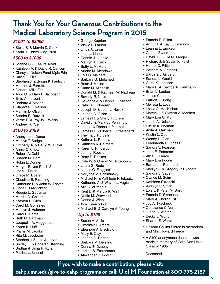# **Thank You for Your Generous Contributions to the Medical Laboratory Science Program in 2015**

#### *\$1001 to \$2000*

- • Stella S. & Marvin D. Cook
- Karin J. Libby/Living Trust

#### *\$500 to \$1000*

- • Joanne S. & Lee W. Arvid
- Kathleen A. & David R. Carlsen
- • Clareyse Nelson Fund-Mpls Fdn
- • David E. Ellis
- Stephen J. & Susan K. Fautsch
- • Marcine J. Forrette
- • General Mills Fdn
- • Todd C. & Mary E. Jacobson
- • Billie Anne Juni
- • Barbara J. Moser
- • Clareyse E. Nelson
- • Marilyn D. Olson
- • Sandra R. Rutzick
- • Verne E. & Phyllis J. Weiss
- • Andrew R. Yue

#### *\$100 to \$499*

- • Anonymous Donor
- Marilyn T. Budge
- • Kimberly A. & David W. Butler
- Annie O. Chow
- • Robert A. Dahl
- • Sharon M. Deml
- • Robin L. Donner
- • Mary J. Eaves-Raich & John J. Raich
- • Grace M. Ederer
- Claudine E. Fasching
- • Catherine L. & John W. Foster
- • Linda L. Fredrickson
- • Reggie L. Gausman
- • Mardie G. Geiser
- Kathryn H. Glen
- • Carol M. Gonzales
- • Marilyn J. Halonen
- Carol L. Harris
- Ruth M. Hartman
- • Jacquelin A. Heggernes
- Karen K. Huff
- • Phyllis M. Jacobs
- Rita M. Jacobson
- • Stephen J. & Lisa J. Jarvis
- Shirley E. & Robert S. Kenning
- • Sridhar & Usha R. Kota
- • Patricia J. Kriesel
- • George Kuprian
- • Vickie L. Larson
- • Linda A. Lewis
- • Jean J. Linne
- • Connie J. Luebke
- Marilyn J. Lueck • Betty L. McMartin
- • Arlene M. Meadows
- Lois G. Meiners
- • Barbara G. Melamed
- • Brian J. Meline
- • Diane M. Michalik
- Donald M. & Kathleen W. Nadreau
- Beverly R. Ness
- • DeVonne J. & Dennis E. Nilsson
- • Patricia L. Norgren
- • Joseph D. & Joan L. Novak
- • Jeanne C. Olsen
- • James R. & Sheryl F. Olson
- David J. & Mary Jo Pennington
- • John J. & Donna J. Plunkett
- • James H. & Elberta L. Prestegard
- • Thelma J. Purcelli
- • Kathryn L. Rantala
- • Kathleen K. Reimers
- • Karen L. Ringsrud
- • John L. Roesler
- Betty D. Roskos
- Dale W. & Cheryl M. Rozeboom
- • Laura G. Rude
- • James G. Ruggles\*
- • Norynne M. Schiminsky
- • Michael R. & Kathleen P. Tekautz
- Katherine A. & Wayne J. Vagts
- • Aija K. Vikmanis
- • Kent D. & Marcia K. Wall
- • Nettie M. Warwood
- • Donna J. Wieb
- • Xcel Energy Fdn
- Michael E. & Carolyn A. Young

#### *Up to \$100*

- • Susan A. Adlis
- • Umalkair Y. Amare
- • Eleanore A. Bredvold
- Mary E. Clay
- • Joanne G. Deden
- • Barbara M. Deisting
- Donna E. Dzubay
- • Lorilee B. Echternach

**If you wish to make a contribution, please visit:** 

**cahp.umn.edu/give-to-cahp-programs or call: U of M Foundation at 800-775-2187**

• Alexander S. Edorh

• Pamela R. Elliott

• Carol I. Evans

• Harriet D. Fritts • Barbara A. Getchell • Barbara J. Gilbert • Sandra L. Gould • Carol K. Johnson

• Brian L. Lauber • Janice C. Lohman • Patricia H. Long • Melissa L. Love • Leslie A. MacKichan

• Mary Lou G. Mohn • Judith A. Nelson • Lucille K. Norman • Anita A. Oakman • Kristin L. Odom • Wendy L. Oien • Ferdinanda L. Otness • Sandra V. Pearson • Jean E. Peterson\* • Alice E. Pierce • Mary Lou Pogue • Barbara J. Reinhardt

• Arthur T. & Kay E. Emmons

• David J. & Julie M. Fanger • Richard J. & Susan K. Feist

• Mary E. & George A. Kuhlmann

• Marvin L. & Cynthia A. Menken

• Marilyn J. & Gregory P. Rynders

• Howard Collins Pierce in memoriam

• A \$100 anonymous donation was made in memory of Carol Van Halle,

and Mrs. Howard Pierce

Class of 1965

\* Deceased

• Sandra L. Sauer • Clarice M. Seim • Kathleen Skradski • Kathryn L. Smith • Lois J. & Peter M. Smith • Pamela D. Swanson • Mary A. Thornquist • Joy A. Tkachuck • Constance C. Verre • Judith A. Winter • Becky L. Wong • Sharon E. Wurst

**9**

• Leanna L. Erickson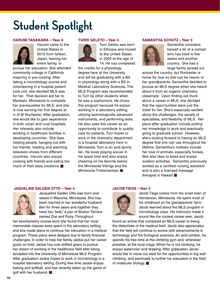# **Student Spotlight**

#### **HARUMI TANAKAWA – Year 4**



Harumi came to the United States in 2010 from Ishkari, Japan, leaving her entire family, to

pursue her education. She attended community college in California majoring in pre-nursing. After taking a microbiology course and volunteering in a hospital patient care unit, she decided MLS was for her. That decision led her to Mankato, Minnesota to complete her prerequisites for MLS, and she is now earning her first degree at U of M Rochester. After graduation, she would like to gain experience in both urban and rural hospitals. Her interests also include working in healthcare facilities in developing countries. She likes helping people, hanging out with her friends, reading and watching television shows from different countries. Harumi also enjoys cooking with friends and eating too much of their tasty creations.

#### **TURRI GELETO – Year 4**



Turri Geleto was born in Ethiopia and moved to the United States in 2005 at the age of 14. He has completed

the credits for a physiology degree here at the University and will be graduating with a BA in physiology along with a BS in Medical Laboratory Sciences. The MLS Program was recommended to Turri by other students when he was a sophomore. He chose this program because he enjoys working in a laboratory setting, utilizing technologically advanced instruments, and performing tests. He also sees this career as an opportunity to contribute to quality care for patients. Turri hopes to work in the chemistry department in a hospital laboratory here in Minnesota. Turri is an avid sports fan. He loves playing soccer in his spare time and also enjoys cheering on his favorite teams: the Minnesota Vikings and the Minnesota Timberwolves.

#### **SAMANTHA SCHUTZ – Year 3**



Samantha considers herself a bit of a nomad who has lived in five states and another country. She has a large family spread out

across the country, but Rochester is home for now so she can be nearer to her grandparents. Samantha decided to pursue an MLS degree when she heard about it from an organic chemistry classmate. Upon finding out more about a career in MLS, she decided that the opportunities were just the ticket for her. She's especially excited about the challenges, the variety of specialties, and flexibility of MLS. Her plans after graduation include putting her knowledge to work and eventually going to graduate school. However, she's looking forward to having an MLS degree that she can use throughout her lifetime. Samantha's hobbies include her love of animals, especially horses. She also likes to bead and enjoys outdoor activities. Samantha previously worked as a certified nursing assistant and is also a licensed massage therapist in Hawaii!

#### **JAQUELINE SALDEN OTTO – Year 4**



Jacqueline Salden Otto was born and raised in Waconia, Minnesota. She has been married to her wonderful husband Ben for three years and together they have two "kids," a pair of Boston Terriers named Zoe and Ruby. Throughout

her biochemistry course work she found that her most memorable classes were spent in the laboratory setting and she made plans to continue her education in a medical program. These plans were delayed due to family financial challenges. In order to help her family Jackie put her career goals on hold. Jackie has now shifted gears to pursue her dream of working in the healthcare field after being accepted into the University of Minnesota MLS Program. After graduation Jackie hopes to work in microbiology in a hospital laboratory setting. During free time Jackie enjoys baking and softball, and has recently taken up the game of golf with her husband.

#### **JACOB TIEGS – Year 3**



Jacob Tiegs comes from the small town of Henderson, Minnesota. He spent most of his childhood on his grandparents' farm. Jacob learned about the MLS program in microbiology class. His instructor made it sound like the coolest career ever. Jacob

found an article that compared an MLS career to being the detectives of the medical field. Jacob also appreciates that the field will continue to evolve with advancements in technology and the biological sciences. An avid climber, he spends his free time at the climbing gym and, whenever possible, at the local crags. When he is not climbing, he enjoys watercolor and drawing. After graduation Jacob would like to move out west for the opportunities in big wall climbing, and eventually to further his education in the field of molecular biology.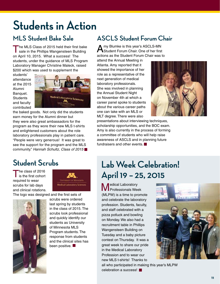# **Students in Action**

## **MLS Student Bake Sale**

The MLS Class of 2015 held their first bake<br>sale in the Phillips Wangensteen Building on April 10, 2015. What a success! The students, under the guidance of MLS Program Laboratory Manager Christine Maleck, raised \$200 which was used to supplement the

students' attendance at the 2015 Alumni Banquet. **Students** and faculty contributed



the baked goods. Not only did the students earn money for the Alumni dinner but they were also great ambassadors for the program as they wore their new MLS t-shirts and enlightened customers about the role laboratory professionals play in patient care. "People were very generous! It was great to see the support for the program and the MLS community." *Hannah Schultz, Class of 2015* 

## **ASCLS Student Forum Chair**

my Blumke is this year's ASCLS-MN Student Forum Chair. One of her first actions as the Student Forum Chair was to

attend the Annual Meeting in Atlanta. Amy reported that it showed the importance of her role as a representative of the next generation of medical laboratory professionals. She was involved in planning the Annual Student Night on November 4th at which a career panel spoke to students about the various career paths one can take with an MLS or MLT degree. There were also



presentations about interviewing techniques, scholarship opportunities, and the BOC exam. Amy is also currently in the process of forming a committee of students who will help raise awareness of ASCLS and in planning future fundraisers and other events.

# **Student Scrubs**

The class of 2016<br>
is the first cohort required to wear scrubs for lab days and clinical rotations.



The logo was designed and the first sets of



scrubs were ordered last spring by students in the class of 2015. The scrubs look professional and quickly identify our students as University of Minnesota MLS Program students. The response from students and the clinical sites has been positive.

# **Lab Week Celebration! April 19 – 25, 2015**

Medical Laboratory **Professionals Week** (MLPW) is a time to promote and celebrate the laboratory profession. Students, faculty, and staff celebrated with a pizza potluck and bowling on Monday. We also had a recruitment table in Phillips Wangensteen Building on Tuesday and a baby picture contest on Thursday. It was a great week to share our pride in the Medical Laboratory Profession and to wear our new MLS t-shirts! Thanks to

all who participated in making this year's MLPW celebration a success!

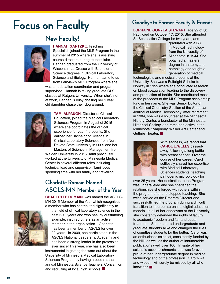# **Focus on Faculty**

# **New Faculty!**



#### **HANNAH GARTZKE**, Teaching

Specialist, joined the MLS Program in the summer of 2015 where she is assisting course directors during student labs. Hannah graduated from the University of Wisconsin-La Crosse with Bachelor of Science degrees in Clinical Laboratory Science and Biology. Hannah came to us from Fairview's MLS Program where she

was an education coordinator and program supervisor. Hannah is taking graduate CLS classes at Rutgers University. When she's not at work, Hannah is busy chasing her 1 year old daughter chase their dog around.



**TAMI ALPAUGH**, Director of Clinical Education, joined the Medical Laboratory Sciences Program in August of 2015 where she coordinates the clinical experience for year 4 students. She earned her Bachelor of Science in Clinical Laboratory Sciences from North Dakota State University in 2009 and her Masters of Science in Management from

Walden University in 2015. Tami previously worked at the University of Minnesota Medical Center in several different roles including technical lead and supervisor. Tami loves spending time with her family and travelling.

### **Charlotte Romain Named ASCLS-MN Member of the Year**

**CHARLOTTE ROMAIN** was named the ASCLS-MN 2015 Member of the Year which recognizes a member who has contributed significantly to



the field of clinical laboratory science in the past 5-10 years and who has, by outstanding example, inspired others as an active member in the organization. Charlotte has been a member of ASCLS for over 20 years. In 2009, she participated in the ASCLS National Leadership Academy and has been a strong leader in the profession ever since! This year, she has also been instrumental in getting the word out about the University of Minnesota Medical Laboratory Sciences Program by having a booth at the annual Minnesota Science Teachers' Convention and recruiting at local high schools.

### **Goodbye to Former Faculty & Friends**

**LORRAINE GONYEA STEWART**, age 92 of St. Paul, died on October 17, 2015. She attended St. Scholastica College for two years, and



graduated with a BS in Medical Technology from the University of Minnesota in 1944. She obtained a masters degree in anatomy and pathology and taught a generation of medical

technologists and medical students at the University. She was a Fulbright Scholar to Norway in 1955 where she conducted research on blood coagulation leading to the discovery and production of ferritin. She contributed most of the proceeds to the MLS Program scholarship fund in her name. She was Senior Editor of the Clinical Chemistry Section of the American Journal of Medical Technology. After retirement in 1984, she was a volunteer at the Minnesota History Center, a benefactor of the Minnesota Historical Society, and remained active in the Minnesota Symphony, Walker Art Center and Guthrie Theater.



With sadness, we report that **CAROL L. WELLS** passedaway following a long battle with breast cancer. Over the course of her career, Carol selflessly shared her expertise with Medical Laboratory Sciences students, teaching pathogenic microbiology for

over 25 years. Her dedication to the Program was unparalleled and she cherished the relationships she forged with others within the program after she stopped teaching. She twice served as the Program Director and successfully led the program during a difficult transition to incorporate online, digital education models. In all of her endeavors at the University, she constantly defended the rights of faculty to academic freedom and fair and equal treatment. She mentored undergraduate and graduate students alike and changed the lives of countless students for the better. Carol was an enthusiastic scientist, consistently funded by the NIH as well as the author of innumerable publications (well over 100). In spite of her scientific accomplishments, she was forever proud of her undergraduate degree in medical technology and of the profession. Carol's wit and wisdom will surely be missed by all who knew her.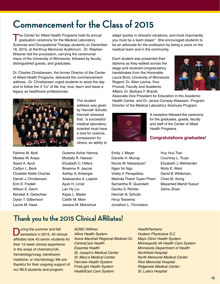# **Commencement for the Class of 2015**

The Center for Allied Health Programs held its annual graduation ceremony for the Medical Laboratory Sciences and Occupational Therapy students on December 18, 2015, at Northrup Memorial Auditorium. Dr. Stephen Wiesner led the procession, carrying the ceremonial mace of the University of Minnesota, followed by faculty, distinguished guests, and graduates.

Dr. Charles Christiansen, the former Director of the Center of Allied Health Programs, delivered the commencement address. Dr. Christiansen urged students to seize the day and to follow the 4 "L's" of life: live, love, learn and leave a legacy as healthcare professionals.



The student address was given by Hannah Schultz. Hannah stressed that, "a successful medical laboratory scientist must have a love for science, compassion for others, an ability to

you must be a team player." She encouraged students to be an advocate for the profession by being a voice on the medical team and in the community.

adapt quickly in stressful situations, and most importantly,

Each student was presented their diploma as they walked across the stage and received congratulatory handshakes from the Honorable Laura Brod, University of Minnesota Regent; Dr. Allen Levine, Vice Provost, Faculty and Academic Affairs; Dr. Barbara F. Brandt,



Associate Vice President for Education in the Academic Health Center, and Dr. Janice Conway-Klaassen, Program Director of the Medical Laboratory Sciences Program.



A reception followed the ceremony for the graduates, guests, faculty and staff of the Center of Allied Health Programs.

#### **Congratulations graduates!**

Fahima M. Abdi Melake W. Araya Siyad A. Ayub Caitlyn L. Beck Clustelle Nielle Charles Daniel J. Christensen Erin E. Fredell Allison E. Germ Bereket A. Getachew Dylan T. Gilbertson Laurie M. Haas

Gutama Azhar Hamza Mustafa R. Hassan Elizabeth C. Hilfers Breanna R. Jaycox Ashley S. Kirberger Aliaksandra A. Liapich Ayub H. Limat Lan Hy Liu Kajsa L. Mader Caitlin M. Mein Jessica M. Melnichuk

Emily J. Meyer Danelle H. Murray Nicole M. Nelsestuen\* Ngan Vo Ngo Vitaliy V. Perepelitsa Melinda Thanh Tuyen Pham Samantha R. Quandahl Davika S. Richter Hannah B. Schultz Hiruy Tessema Jonathon L. Throndson

Huy Huu Tran Courtney L. Truax Elizabeth J. Wehlander Molly E. West David B. Wildeman, Chee M. Xiong Maxamed Mahdi Yussuf Zahra Zhian

# **Thank you to the 2015 Clinical Affiliates!**

During the summer and fall<br>
Semesters in 2015, 40 clinical affiliates took 43 senior students for their 12 week clinical experience in the areas of chemistry/UA, hematology/coag, transfusion medicine, or microbiology. We are thankful for their ongoing support of our MLS students and program.

*ACMC-Willmar Allina Health System Avera Marshall Regional Medical Ctr. CentraCare Health: Essentia Health: St. Joseph's Medical Center St. Mary's Medical Center Fairview Health System: FirstLight Health System HealthEast Care System:*

*HealthPartners: Hudson Physicians S.C. Mayo Clinic Health System: Minneapolis VA Health Care System Minnesota Department of Health Northfield Hospital North Memorial Medical Center Rice Memorial Hospital Ridgeview Medical Center: St. Luke's Hospital*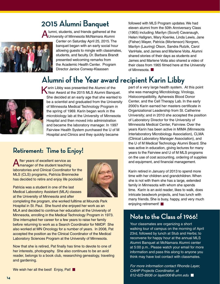# **2015 Alumni Banquet**

**A** lumni, students, and friends gathered at the University of Minnesota McNamara Alumni

> Center on Saturday April 25, 2015. The banquet began with an early social hour allowing guests to mingle with classmates, students, and faculty. Dr. Barbara Brandt presented welcoming remarks from the Academic Health Center. Program Director Janice Conway-Klaassen

followed with MLS Program updates. We had eleven alumni from the 50th Anniversary Class (1965) including: Marilyn (Scovil) Cavanaugh, Helen Hallgren, Mary Koenke, Linda Lewis, Jane (Fisher) Mayer, Patricia (Mortenson) Norgren, Marilyn (Lauring) Olson, Sandra Rutzik, Carol VanHale, and James and Marlene Voita. Alumni shared stories of their days as students and James and Marlene Voita also shared a video of their class from 1965 filmed here at the University of Minnesota.

# **Alumni of the Year award recipient Karin Libby**



Karin Libby was presented the Alumni of the<br>
Year Award at the 2015 MLS Alumni Banquet. She decided at an early age that she wanted to be a scientist and graduated from the University of Minnesota Medical Technology Program in the spring of 1969. Karin began work in the microbiology lab at the University of Minnesota Hospital and then moved into administration and became the laboratory manager. In 1997 Fairview Health System purchased the U of M Hospital and Clinics and they quickly became

### **Retirement: Time to Enjoy!**

A fter years of excellent service as<br>Amanager of the student teaching laboratories and Clinical Coordinator for the MLS (CLS) programs, Patricia Brennecke has decided to retire and enjoy life poolside!



Patricia was a student in one of the last Medical Laboratory Assistant (MLA) classes at the University of Minnesota and after

completing the program, she worked fulltime at Mounds Park Hospital in St. Paul. She found she enjoyed her work as an MLA and decided to continue her education at the University of Minnesota, enrolling in the Medical Technology Program in 1973. She interrupted her career for a few years to raise her family before returning to work as a Search Coordinator for NMDP. She also worked at MN Oncology for a number of years. In 2008, Pat accepted the position as the Clinical Coordinator of the Medical Laboratory Sciences Program at the University of Minnesota.

Now that she is retired, Pat finally has time to devote to one of her interests, photography. She also continues to be an avid reader, belongs to a book club, researching genealogy, traveling and gardening.

We wish her all the best! Enjoy, Pat!

part of a very large health system. At this point she was managing Microbiology, Virology, Histocompatibility, Apheresis Blood Donor Center, and the Cell Therapy Lab. In the early 2000's Karin earned her masters certificate in Organizational Leadership from St. Catherine University; and in 2010 she accepted the position of Laboratory Director for the University of Minnesota Medical Center, Fairview. Over the years Karin has been active in MIMA (Minnesota Interlaboratory Microbiology Association), CLMA (Clinical Laboratory Manager Association), and the U of M Medical Technology Alumni Board. She was active in education, giving lectures for many years to the Fairview and U of M MLS programs on the use of cost accounting, ordering of supplies and equipment, and financial management.

Karin retired in January of 2013 to spend more time with her children and grandchildren. When she is not with them she has a large, extended family in Minnesota with whom she spends time. Karin is an avid reader, likes to walk, does intricate beadwork projects, and has lunch with many friends. She is busy, happy, and very much enjoying retirement!

# **Note to the Class of 1966!**

Your classmates are organizing a short walking tour of campus on the morning of April 23rd, followed by lunch at Stub and Herbs; to reconvene for happy hour at the annual MLS Alumni Banquet at McNamara Alumni center at 5:00 p.m.. Please watch your email for more information and pass this along to anyone you think may have lost contact with classmates.

*For more information contact Rhonda Layer, CAHP Projects Coordinator, at 612-625-8936 or layer006@umn.edu*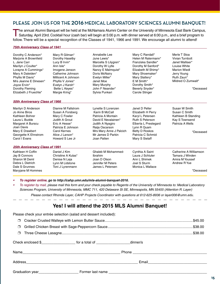#### **PLEASE JOIN US FOR THE 2016 MEDICAL LABORATORY SCIENCES ALUMNI BANQUET!**

The annual Alumni Banquet will be held at the McNamara Alumni Center on the University of Minnesota East Bank Campus,<br>Saturday, April 23rd. Cocktail hour (cash bar) will begin at 5:00 p.m. with dinner served at 6:00 p.m., follow. There will be a special recognition of the Classes of 1941, 1966 and 1991. We encourage all alumni to attend!

> Mary C Randall\* Helen M Ratermann\* Franziska Sandler\* Dorothy M Sanford\* Elizabeth M Shimp\* Mary Shoemaker\* Mary Slattery\* E M Smith\* Dorothy Smith\* Beverly Snyder\* Carole Stinger

> Janet D Peller Elizabeth H Perry Karyl L Petersen Ruth S Peterson Elberta L Prestegard Lynn R Quam Betty D Roskos Patricia C Schmid Mary S Sielaff

Merle T Stoa Vivian Turnbolt Janet Walliser\* Louise White Marion Wiedl Jerry Young Ruth Zaun\* Mildred O Zumwalt\*

Susan W Smith Susan C Smith Kathleen B Standing Kay S Townsend Patricia A Wells

\*Deceased

\*Deceased

Annabelle Lee June Lewis\* Marcella S Lilygren\* Dorothy W Lytle Nancy E Malmquist\* Doris McNairy Evelyn Miller\* Janet Moe Mary Murphy John F Neander\* Sylvia Punkari

Lynette S Lorenzen Karin B McCall Patricia A Montain David E Nevalainen\* Judith A Nyagiro Raija Oscarson

#### *75th Anniversary Class of 1941*

| Dorothy C Anderson*   |
|-----------------------|
| Marjorie A Brownfield |
| L. Jane Carr          |
| Marilyn J Coulter*    |
| Lorayne A Cummings*   |
| Mary A Daleiden*      |
| Phyllis M Davis*      |
| Mrs Jeanne E Dinesen* |
| Joyce Ervin*          |
| Dorothy Fleming       |
| Elizabeth J Fruechte* |

#### Mary R Gilman\* Dorothy Haselby Lucy B Irvin\* Ann Isle\* Imogene Jenson Catherine Johnson Millicent A Johnson Phyllis V Jones\* Evelyn J Karsh\* Bette L Keyes\* Margie Kring\*

Dianne M Fallstrom Susan A Forsberg Mary C Fowler Judith A Grout Eric A Hesse\* Patricia E Johnson Carol Kernes Alice J Larson\* Howard S Lee Jr

#### *50th Anniversary Class of 1966*

Marilyn D Anderson Jo Anne Biros Kathleen Bohrer Laura L Budde Margaret A Burscu Joan Davis Mary E Drawbert Georgette K Ehnstrom Carol I Evans

#### *25th Anniversary Class of 1991*

| <u>EVAILLAUMMODOGLY OROO OF TOOT</u> |                    |                    |                  |                        |  |
|--------------------------------------|--------------------|--------------------|------------------|------------------------|--|
| Kathleen H Coffin                    | Daniel J Kim       | Ghaleb M Mohammed- | Cynthia A Saint  | Catherine A Williamson |  |
| Jay B Connors                        | Christine A Kulas* | <b>Ibrahim</b>     | Laura J Schluter | Tamara J Winden        |  |
| Sharon M Deml                        | Denise N Leja      | Joan D Olson       | Ann L Shimek     | Amira M Youssef        |  |
| Debra L Dietrich                     | Lynn M Lidstone    | Jennifer M Peters  | Joel S Sturm     | Andrew R Yue           |  |
| Dale S Grunnes                       | Toni J Lyrenmann   | James L Petersen   | Monica L Wallace |                        |  |
| Maryjane M Hommes                    |                    |                    |                  | *Deceased              |  |

Mrs Mary Anne J Palcich Mr James D Parkin Joan Patten

**•**  *To register online, go to http://cahp.umn.edu/mls-alumni-banquet-2016.*

To register by mail, please mail this form and your check payable to Regents of the University of Minnesota to: Medical Laboratory *Sciences Program, University of Minnesota, MMC 711, 420 Delaware St SE, Minneapolis, MN 55455 (Attention R. Layer) Please contact Rhonda Layer, CAHP Projects Coordinator with questions at 612-625-8936 or layer006@umn.edu.*

### **Yes! I will attend the 2015 MLS Alumni Banquet!**

Please check your entrée selection (salad and dessert included):

| ◘      |                                                                                       |  |  |  |  |
|--------|---------------------------------------------------------------------------------------|--|--|--|--|
| $\Box$ |                                                                                       |  |  |  |  |
| $\Box$ |                                                                                       |  |  |  |  |
|        | Check enclosed \$_______________________ for a total of _____________________dinner/s |  |  |  |  |
|        |                                                                                       |  |  |  |  |
|        |                                                                                       |  |  |  |  |
|        |                                                                                       |  |  |  |  |